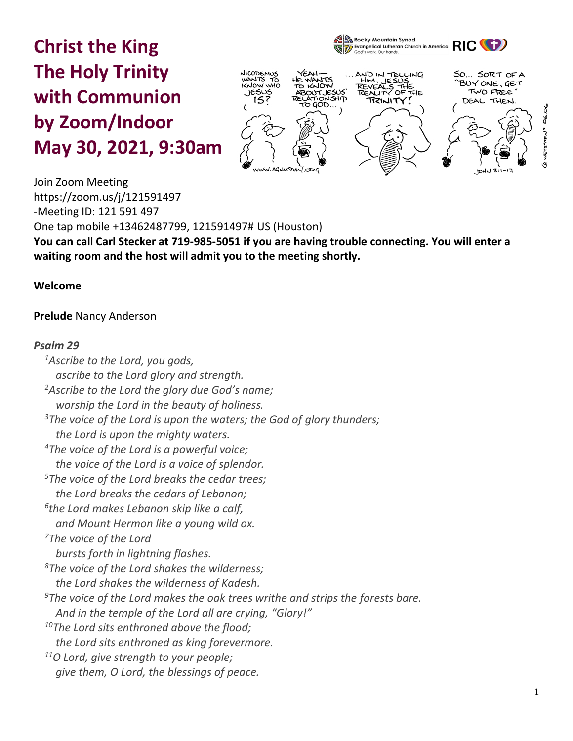**Christ the King The Holy Trinity with Communion by Zoom/Indoor May 30, 2021, 9:30am**





Join Zoom Meeting <https://zoom.us/j/121591497> -Meeting ID: 121 591 497 One tap mobile +13462487799, 121591497# US (Houston) **You can call Carl Stecker at 719-985-5051 if you are having trouble connecting. You will enter a waiting room and the host will admit you to the meeting shortly.** 

## **Welcome**

## **Prelude** Nancy Anderson

#### *Psalm 29*

*<sup>1</sup>Ascribe to the Lord, you gods, ascribe to the Lord glory and strength. <sup>2</sup>Ascribe to the Lord the glory due God's name; worship the Lord in the beauty of holiness. <sup>3</sup>The voice of the Lord is upon the waters; the God of glory thunders; the Lord is upon the mighty waters. <sup>4</sup>The voice of the Lord is a powerful voice; the voice of the Lord is a voice of splendor. <sup>5</sup>The voice of the Lord breaks the cedar trees; the Lord breaks the cedars of Lebanon; 6 the Lord makes Lebanon skip like a calf, and Mount Hermon like a young wild ox. <sup>7</sup>The voice of the Lord bursts forth in lightning flashes. <sup>8</sup>The voice of the Lord shakes the wilderness; the Lord shakes the wilderness of Kadesh. <sup>9</sup>The voice of the Lord makes the oak trees writhe and strips the forests bare. And in the temple of the Lord all are crying, "Glory!" <sup>10</sup>The Lord sits enthroned above the flood; the Lord sits enthroned as king forevermore. <sup>11</sup>O Lord, give strength to your people; give them, O Lord, the blessings of peace.*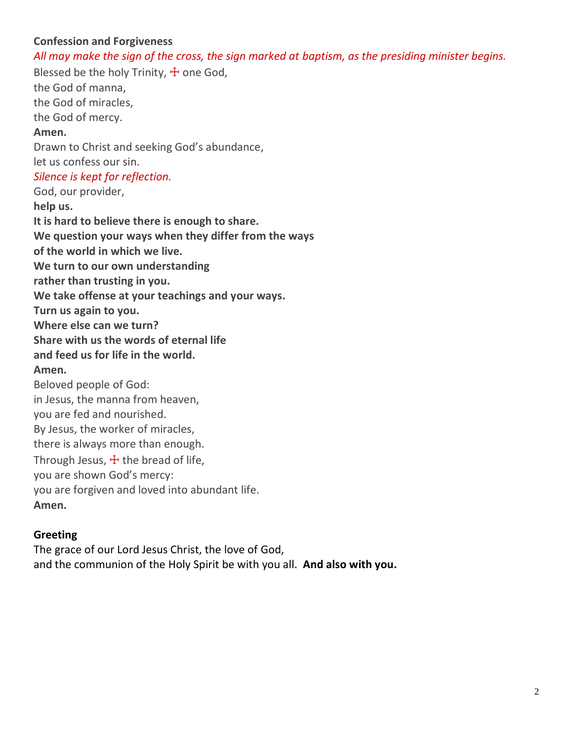## **Confession and Forgiveness**

*All may make the sign of the cross, the sign marked at baptism, as the presiding minister begins.*

Blessed be the holy Trinity,  $\pm$  one God, the God of manna, the God of miracles, the God of mercy. **Amen.** Drawn to Christ and seeking God's abundance, let us confess our sin. *Silence is kept for reflection.* God, our provider, **help us. It is hard to believe there is enough to share. We question your ways when they differ from the ways of the world in which we live. We turn to our own understanding rather than trusting in you. We take offense at your teachings and your ways. Turn us again to you. Where else can we turn? Share with us the words of eternal life and feed us for life in the world. Amen.** Beloved people of God: in Jesus, the manna from heaven, you are fed and nourished. By Jesus, the worker of miracles, there is always more than enough. Through Jesus,  $\pm$  the bread of life, you are shown God's mercy: you are forgiven and loved into abundant life. **Amen.**

## **Greeting**

The grace of our Lord Jesus Christ, the love of God, and the communion of the Holy Spirit be with you all. **And also with you.**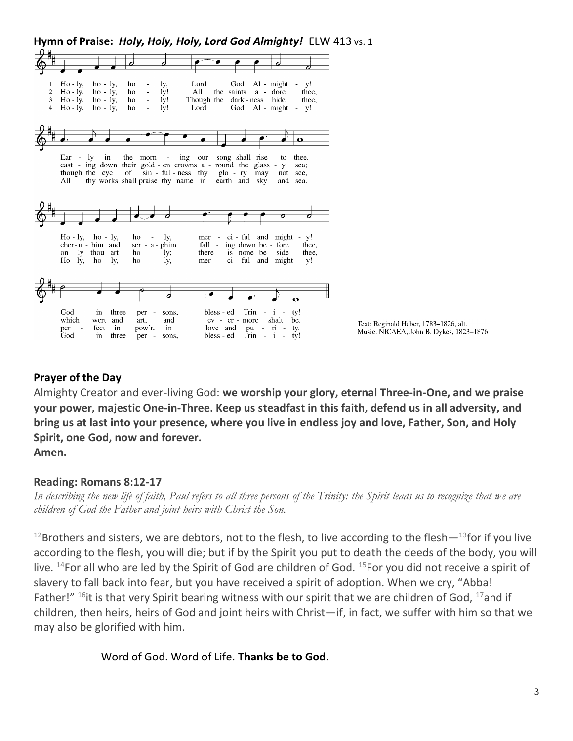

# Music: NICAEA, John B. Dykes, 1823-1876

## **Prayer of the Day**

Almighty Creator and ever-living God: **we worship your glory, eternal Three-in-One, and we praise your power, majestic One-in-Three. Keep us steadfast in this faith, defend us in all adversity, and bring us at last into your presence, where you live in endless joy and love, Father, Son, and Holy Spirit, one God, now and forever. Amen.**

## **Reading: Romans 8:12-17**

*In describing the new life of faith, Paul refers to all three persons of the Trinity: the Spirit leads us to recognize that we are children of God the Father and joint heirs with Christ the Son.*

<sup>12</sup>Brothers and sisters, we are debtors, not to the flesh, to live according to the flesh—<sup>13</sup>for if you live according to the flesh, you will die; but if by the Spirit you put to death the deeds of the body, you will live. <sup>14</sup>For all who are led by the Spirit of God are children of God. <sup>15</sup>For you did not receive a spirit of slavery to fall back into fear, but you have received a spirit of adoption. When we cry, "Abba! Father!"  $16$  it is that very Spirit bearing witness with our spirit that we are children of God,  $17$  and if children, then heirs, heirs of God and joint heirs with Christ—if, in fact, we suffer with him so that we may also be glorified with him.

Word of God. Word of Life. **Thanks be to God.**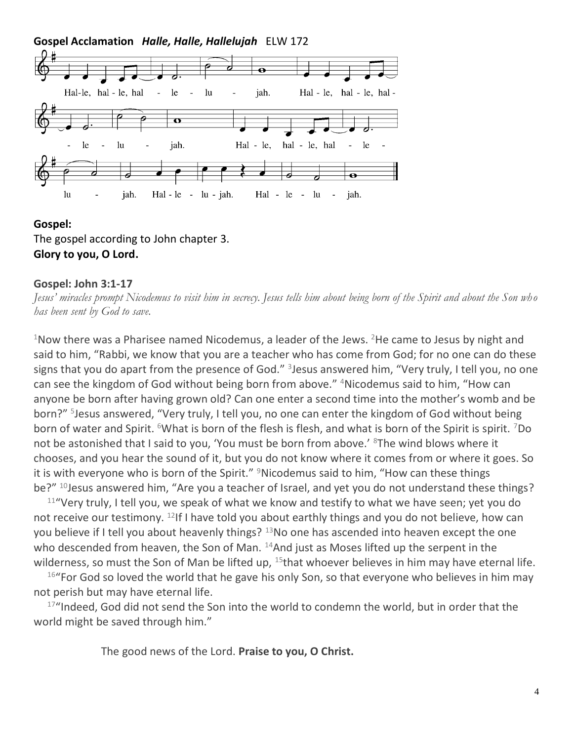

## **Gospel:**

The gospel according to John chapter 3. **Glory to you, O Lord.**

## **Gospel: John 3:1-17**

*Jesus' miracles prompt Nicodemus to visit him in secrecy. Jesus tells him about being born of the Spirit and about the Son who has been sent by God to save.*

 $1$ Now there was a Pharisee named Nicodemus, a leader of the Jews.  $2$ He came to Jesus by night and said to him, "Rabbi, we know that you are a teacher who has come from God; for no one can do these signs that you do apart from the presence of God." <sup>3</sup>Jesus answered him, "Very truly, I tell you, no one can see the kingdom of God without being born from above." <sup>4</sup>Nicodemus said to him, "How can anyone be born after having grown old? Can one enter a second time into the mother's womb and be born?" <sup>5</sup>Jesus answered, "Very truly, I tell you, no one can enter the kingdom of God without being born of water and Spirit. <sup>6</sup>What is born of the flesh is flesh, and what is born of the Spirit is spirit. <sup>7</sup>Do not be astonished that I said to you, 'You must be born from above.' <sup>8</sup>The wind blows where it chooses, and you hear the sound of it, but you do not know where it comes from or where it goes. So it is with everyone who is born of the Spirit."  $9$ Nicodemus said to him, "How can these things be?" <sup>10</sup>Jesus answered him, "Are you a teacher of Israel, and yet you do not understand these things?

 $11^{\prime\prime}$  Very truly, I tell you, we speak of what we know and testify to what we have seen; yet you do not receive our testimony. <sup>12</sup>If I have told you about earthly things and you do not believe, how can you believe if I tell you about heavenly things? <sup>13</sup>No one has ascended into heaven except the one who descended from heaven, the Son of Man. <sup>14</sup>And just as Moses lifted up the serpent in the wilderness, so must the Son of Man be lifted up, <sup>15</sup>that whoever believes in him may have eternal life.

 $16$ "For God so loved the world that he gave his only Son, so that everyone who believes in him may not perish but may have eternal life.

 $17<sup>47</sup>$  Indeed, God did not send the Son into the world to condemn the world, but in order that the world might be saved through him."

The good news of the Lord. **Praise to you, O Christ.**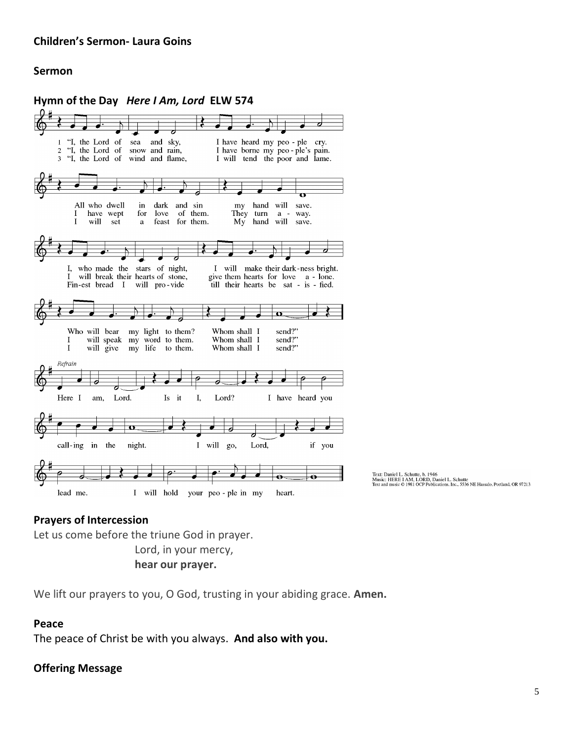#### **Sermon**



Text: Daniel L. Schutte, b. 1946<br>Music: HERE I AM, LORD, Daniel L. Schutte<br>Text and music © 1981 OCP Publications, Inc., 5536 NE Hassalo, Portland, OR 97213.

## **Prayers of Intercession**

Let us come before the triune God in prayer. Lord, in your mercy, **hear our prayer.**

We lift our prayers to you, O God, trusting in your abiding grace. **Amen.**

#### **Peace**

The peace of Christ be with you always. **And also with you.**

## **Offering Message**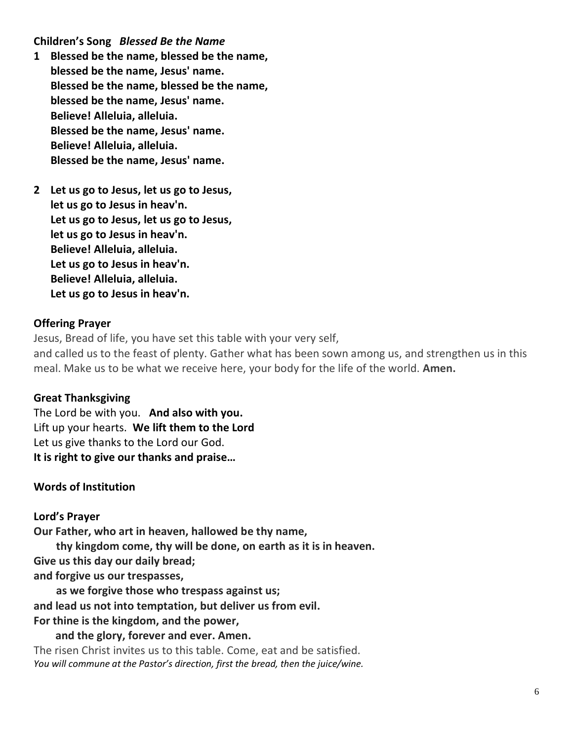**Children's Song** *Blessed Be the Name*

- **1 Blessed be the name, blessed be the name, blessed be the name, Jesus' name. Blessed be the name, blessed be the name, blessed be the name, Jesus' name. Believe! Alleluia, alleluia. Blessed be the name, Jesus' name. Believe! Alleluia, alleluia. Blessed be the name, Jesus' name.**
- **2 Let us go to Jesus, let us go to Jesus, let us go to Jesus in heav'n. Let us go to Jesus, let us go to Jesus, let us go to Jesus in heav'n. Believe! Alleluia, alleluia. Let us go to Jesus in heav'n. Believe! Alleluia, alleluia. Let us go to Jesus in heav'n.**

## **Offering Prayer**

Jesus, Bread of life, you have set this table with your very self, and called us to the feast of plenty. Gather what has been sown among us, and strengthen us in this meal. Make us to be what we receive here, your body for the life of the world. **Amen.**

## **Great Thanksgiving**

The Lord be with you. **And also with you.** Lift up your hearts. **We lift them to the Lord** Let us give thanks to the Lord our God. **It is right to give our thanks and praise…** 

## **Words of Institution**

## **Lord's Prayer**

**Our Father, who art in heaven, hallowed be thy name,**

**thy kingdom come, thy will be done, on earth as it is in heaven.**

**Give us this day our daily bread;**

**and forgive us our trespasses,**

**as we forgive those who trespass against us;**

**and lead us not into temptation, but deliver us from evil.**

**For thine is the kingdom, and the power,**

 **and the glory, forever and ever. Amen.**

The risen Christ invites us to this table. Come, eat and be satisfied. *You will commune at the Pastor's direction, first the bread, then the juice/wine.*